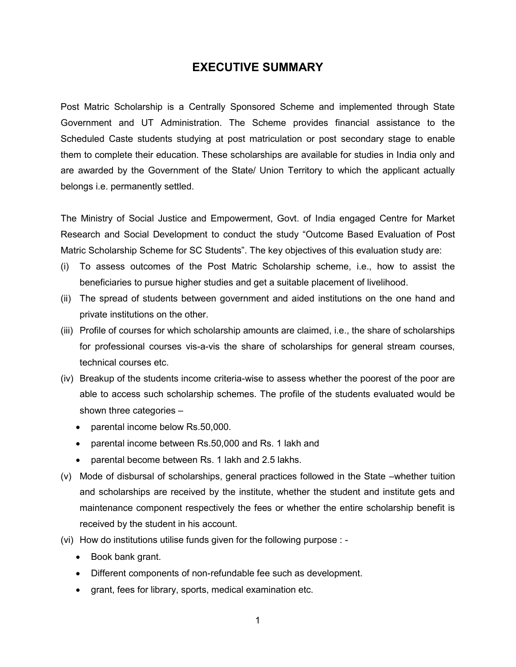# **EXECUTIVE SUMMARY**

Post Matric Scholarship is a Centrally Sponsored Scheme and implemented through State Government and UT Administration. The Scheme provides financial assistance to the Scheduled Caste students studying at post matriculation or post secondary stage to enable them to complete their education. These scholarships are available for studies in India only and are awarded by the Government of the State/ Union Territory to which the applicant actually belongs i.e. permanently settled.

The Ministry of Social Justice and Empowerment, Govt. of India engaged Centre for Market Research and Social Development to conduct the study "Outcome Based Evaluation of Post Matric Scholarship Scheme for SC Students". The key objectives of this evaluation study are:

- (i) To assess outcomes of the Post Matric Scholarship scheme, i.e., how to assist the beneficiaries to pursue higher studies and get a suitable placement of livelihood.
- (ii) The spread of students between government and aided institutions on the one hand and private institutions on the other.
- (iii) Profile of courses for which scholarship amounts are claimed, i.e., the share of scholarships for professional courses vis-a-vis the share of scholarships for general stream courses, technical courses etc.
- (iv) Breakup of the students income criteria-wise to assess whether the poorest of the poor are able to access such scholarship schemes. The profile of the students evaluated would be shown three categories –
	- parental income below Rs.50,000.
	- parental income between Rs.50,000 and Rs. 1 lakh and
	- parental become between Rs. 1 lakh and 2.5 lakhs.
- (v) Mode of disbursal of scholarships, general practices followed in the State –whether tuition and scholarships are received by the institute, whether the student and institute gets and maintenance component respectively the fees or whether the entire scholarship benefit is received by the student in his account.
- (vi) How do institutions utilise funds given for the following purpose :
	- Book bank grant.
	- Different components of non-refundable fee such as development.
	- grant, fees for library, sports, medical examination etc.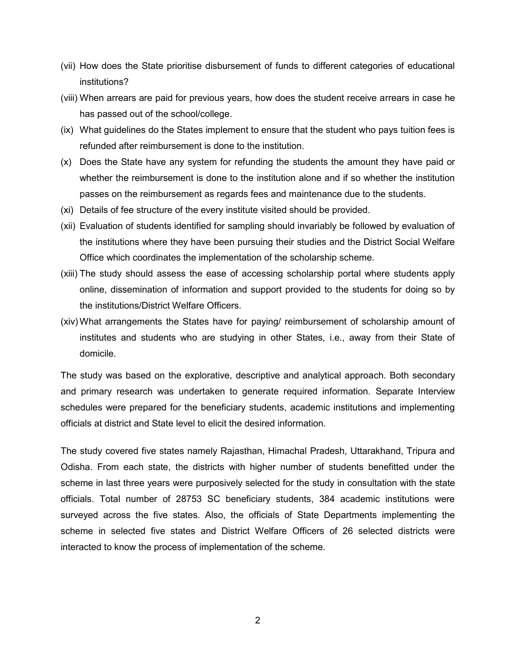- (vii) How does the State prioritise disbursement of funds to different categories of educational institutions?
- (viii) When arrears are paid for previous years, how does the student receive arrears in case he has passed out of the school/college.
- (ix) What guidelines do the States implement to ensure that the student who pays tuition fees is refunded after reimbursement is done to the institution.
- (x) Does the State have any system for refunding the students the amount they have paid or whether the reimbursement is done to the institution alone and if so whether the institution passes on the reimbursement as regards fees and maintenance due to the students.
- (xi) Details of fee structure of the every institute visited should be provided.
- (xii) Evaluation of students identified for sampling should invariably be followed by evaluation of the institutions where they have been pursuing their studies and the District Social Welfare Office which coordinates the implementation of the scholarship scheme.
- (xiii) The study should assess the ease of accessing scholarship portal where students apply online, dissemination of information and support provided to the students for doing so by the institutions/District Welfare Officers.
- (xiv) What arrangements the States have for paying/ reimbursement of scholarship amount of institutes and students who are studying in other States, i.e., away from their State of domicile.

The study was based on the explorative, descriptive and analytical approach. Both secondary and primary research was undertaken to generate required information. Separate Interview schedules were prepared for the beneficiary students, academic institutions and implementing officials at district and State level to elicit the desired information.

The study covered five states namely Rajasthan, Himachal Pradesh, Uttarakhand, Tripura and Odisha. From each state, the districts with higher number of students benefitted under the scheme in last three years were purposively selected for the study in consultation with the state officials. Total number of 28753 SC beneficiary students, 384 academic institutions were surveyed across the five states. Also, the officials of State Departments implementing the scheme in selected five states and District Welfare Officers of 26 selected districts were interacted to know the process of implementation of the scheme.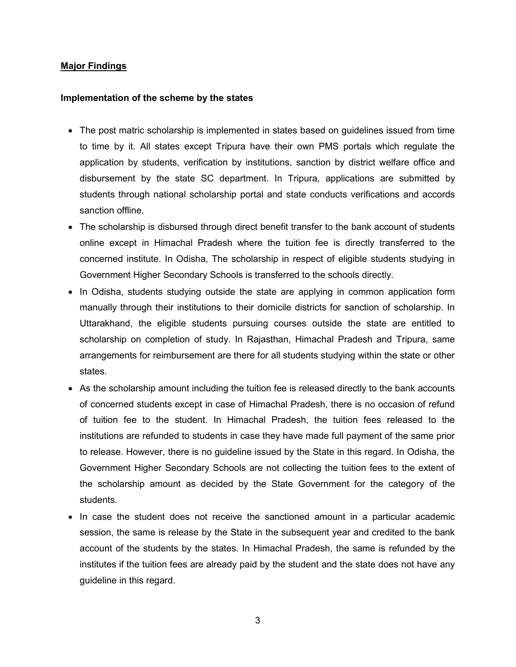## **Major Findings**

#### **Implementation of the scheme by the states**

- The post matric scholarship is implemented in states based on guidelines issued from time to time by it. All states except Tripura have their own PMS portals which regulate the application by students, verification by institutions, sanction by district welfare office and disbursement by the state SC department. In Tripura, applications are submitted by students through national scholarship portal and state conducts verifications and accords sanction offline.
- The scholarship is disbursed through direct benefit transfer to the bank account of students online except in Himachal Pradesh where the tuition fee is directly transferred to the concerned institute. In Odisha, The scholarship in respect of eligible students studying in Government Higher Secondary Schools is transferred to the schools directly.
- In Odisha, students studying outside the state are applying in common application form manually through their institutions to their domicile districts for sanction of scholarship. In Uttarakhand, the eligible students pursuing courses outside the state are entitled to scholarship on completion of study. In Rajasthan, Himachal Pradesh and Tripura, same arrangements for reimbursement are there for all students studying within the state or other states.
- As the scholarship amount including the tuition fee is released directly to the bank accounts of concerned students except in case of Himachal Pradesh, there is no occasion of refund of tuition fee to the student. In Himachal Pradesh, the tuition fees released to the institutions are refunded to students in case they have made full payment of the same prior to release. However, there is no guideline issued by the State in this regard. In Odisha, the Government Higher Secondary Schools are not collecting the tuition fees to the extent of the scholarship amount as decided by the State Government for the category of the students.
- In case the student does not receive the sanctioned amount in a particular academic session, the same is release by the State in the subsequent year and credited to the bank account of the students by the states. In Himachal Pradesh, the same is refunded by the institutes if the tuition fees are already paid by the student and the state does not have any guideline in this regard.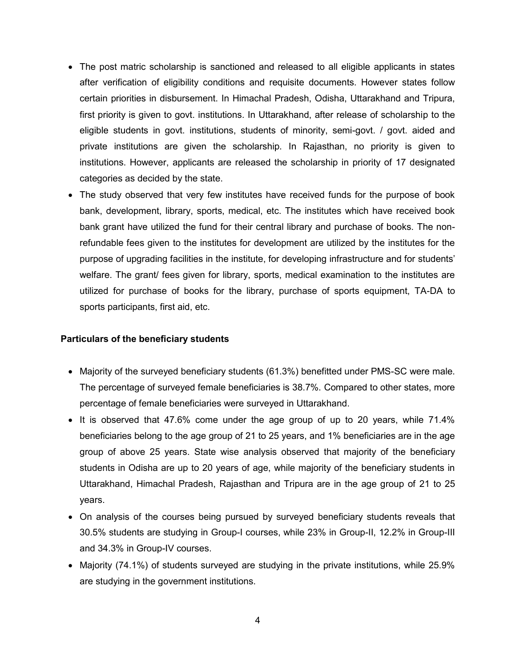- The post matric scholarship is sanctioned and released to all eligible applicants in states after verification of eligibility conditions and requisite documents. However states follow certain priorities in disbursement. In Himachal Pradesh, Odisha, Uttarakhand and Tripura, first priority is given to govt. institutions. In Uttarakhand, after release of scholarship to the eligible students in govt. institutions, students of minority, semi-govt. / govt. aided and private institutions are given the scholarship. In Rajasthan, no priority is given to institutions. However, applicants are released the scholarship in priority of 17 designated categories as decided by the state.
- The study observed that very few institutes have received funds for the purpose of book bank, development, library, sports, medical, etc. The institutes which have received book bank grant have utilized the fund for their central library and purchase of books. The nonrefundable fees given to the institutes for development are utilized by the institutes for the purpose of upgrading facilities in the institute, for developing infrastructure and for students' welfare. The grant/ fees given for library, sports, medical examination to the institutes are utilized for purchase of books for the library, purchase of sports equipment, TA-DA to sports participants, first aid, etc.

## **Particulars of the beneficiary students**

- Majority of the surveyed beneficiary students (61.3%) benefitted under PMS-SC were male. The percentage of surveyed female beneficiaries is 38.7%. Compared to other states, more percentage of female beneficiaries were surveyed in Uttarakhand.
- It is observed that 47.6% come under the age group of up to 20 years, while 71.4% beneficiaries belong to the age group of 21 to 25 years, and 1% beneficiaries are in the age group of above 25 years. State wise analysis observed that majority of the beneficiary students in Odisha are up to 20 years of age, while majority of the beneficiary students in Uttarakhand, Himachal Pradesh, Rajasthan and Tripura are in the age group of 21 to 25 years.
- On analysis of the courses being pursued by surveyed beneficiary students reveals that 30.5% students are studying in Group-I courses, while 23% in Group-II, 12.2% in Group-III and 34.3% in Group-IV courses.
- Majority (74.1%) of students surveyed are studying in the private institutions, while 25.9% are studying in the government institutions.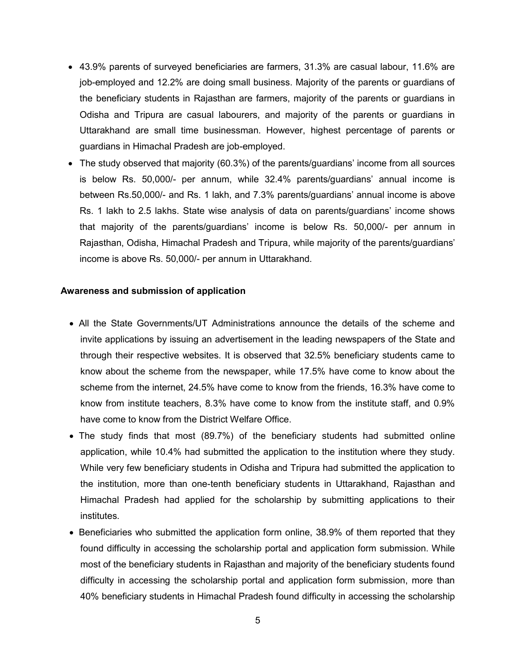- 43.9% parents of surveyed beneficiaries are farmers, 31.3% are casual labour, 11.6% are job-employed and 12.2% are doing small business. Majority of the parents or guardians of the beneficiary students in Rajasthan are farmers, majority of the parents or guardians in Odisha and Tripura are casual labourers, and majority of the parents or guardians in Uttarakhand are small time businessman. However, highest percentage of parents or guardians in Himachal Pradesh are job-employed.
- The study observed that majority (60.3%) of the parents/guardians' income from all sources is below Rs. 50,000/- per annum, while 32.4% parents/guardians' annual income is between Rs.50,000/- and Rs. 1 lakh, and 7.3% parents/guardians' annual income is above Rs. 1 lakh to 2.5 lakhs. State wise analysis of data on parents/guardians' income shows that majority of the parents/guardians' income is below Rs. 50,000/- per annum in Rajasthan, Odisha, Himachal Pradesh and Tripura, while majority of the parents/guardians' income is above Rs. 50,000/- per annum in Uttarakhand.

#### **Awareness and submission of application**

- All the State Governments/UT Administrations announce the details of the scheme and invite applications by issuing an advertisement in the leading newspapers of the State and through their respective websites. It is observed that 32.5% beneficiary students came to know about the scheme from the newspaper, while 17.5% have come to know about the scheme from the internet, 24.5% have come to know from the friends, 16.3% have come to know from institute teachers, 8.3% have come to know from the institute staff, and 0.9% have come to know from the District Welfare Office.
- The study finds that most (89.7%) of the beneficiary students had submitted online application, while 10.4% had submitted the application to the institution where they study. While very few beneficiary students in Odisha and Tripura had submitted the application to the institution, more than one-tenth beneficiary students in Uttarakhand, Rajasthan and Himachal Pradesh had applied for the scholarship by submitting applications to their institutes.
- Beneficiaries who submitted the application form online, 38.9% of them reported that they found difficulty in accessing the scholarship portal and application form submission. While most of the beneficiary students in Rajasthan and majority of the beneficiary students found difficulty in accessing the scholarship portal and application form submission, more than 40% beneficiary students in Himachal Pradesh found difficulty in accessing the scholarship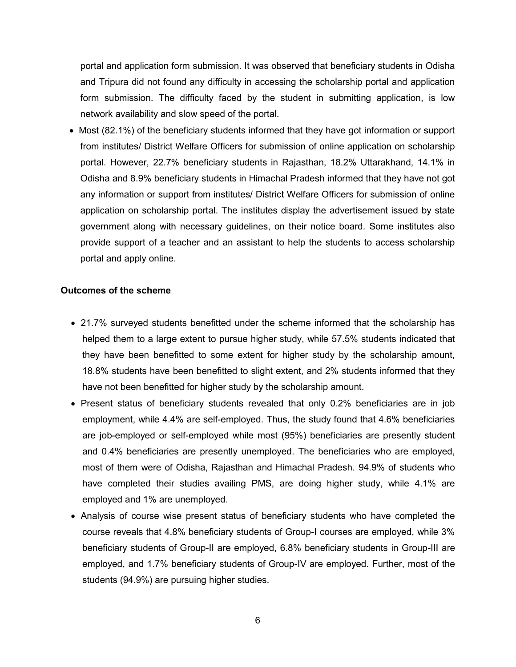portal and application form submission. It was observed that beneficiary students in Odisha and Tripura did not found any difficulty in accessing the scholarship portal and application form submission. The difficulty faced by the student in submitting application, is low network availability and slow speed of the portal.

• Most (82.1%) of the beneficiary students informed that they have got information or support from institutes/ District Welfare Officers for submission of online application on scholarship portal. However, 22.7% beneficiary students in Rajasthan, 18.2% Uttarakhand, 14.1% in Odisha and 8.9% beneficiary students in Himachal Pradesh informed that they have not got any information or support from institutes/ District Welfare Officers for submission of online application on scholarship portal. The institutes display the advertisement issued by state government along with necessary guidelines, on their notice board. Some institutes also provide support of a teacher and an assistant to help the students to access scholarship portal and apply online.

#### **Outcomes of the scheme**

- 21.7% surveyed students benefitted under the scheme informed that the scholarship has helped them to a large extent to pursue higher study, while 57.5% students indicated that they have been benefitted to some extent for higher study by the scholarship amount, 18.8% students have been benefitted to slight extent, and 2% students informed that they have not been benefitted for higher study by the scholarship amount.
- Present status of beneficiary students revealed that only 0.2% beneficiaries are in job employment, while 4.4% are self-employed. Thus, the study found that 4.6% beneficiaries are job-employed or self-employed while most (95%) beneficiaries are presently student and 0.4% beneficiaries are presently unemployed. The beneficiaries who are employed, most of them were of Odisha, Rajasthan and Himachal Pradesh. 94.9% of students who have completed their studies availing PMS, are doing higher study, while 4.1% are employed and 1% are unemployed.
- Analysis of course wise present status of beneficiary students who have completed the course reveals that 4.8% beneficiary students of Group-I courses are employed, while 3% beneficiary students of Group-II are employed, 6.8% beneficiary students in Group-III are employed, and 1.7% beneficiary students of Group-IV are employed. Further, most of the students (94.9%) are pursuing higher studies.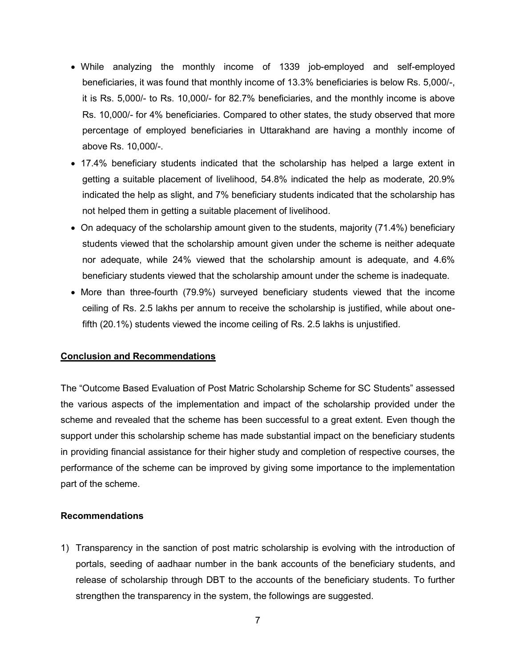- While analyzing the monthly income of 1339 job-employed and self-employed beneficiaries, it was found that monthly income of 13.3% beneficiaries is below Rs. 5,000/-, it is Rs. 5,000/- to Rs. 10,000/- for 82.7% beneficiaries, and the monthly income is above Rs. 10,000/- for 4% beneficiaries. Compared to other states, the study observed that more percentage of employed beneficiaries in Uttarakhand are having a monthly income of above Rs. 10,000/-.
- 17.4% beneficiary students indicated that the scholarship has helped a large extent in getting a suitable placement of livelihood, 54.8% indicated the help as moderate, 20.9% indicated the help as slight, and 7% beneficiary students indicated that the scholarship has not helped them in getting a suitable placement of livelihood.
- On adequacy of the scholarship amount given to the students, majority (71.4%) beneficiary students viewed that the scholarship amount given under the scheme is neither adequate nor adequate, while 24% viewed that the scholarship amount is adequate, and 4.6% beneficiary students viewed that the scholarship amount under the scheme is inadequate.
- More than three-fourth (79.9%) surveyed beneficiary students viewed that the income ceiling of Rs. 2.5 lakhs per annum to receive the scholarship is justified, while about onefifth (20.1%) students viewed the income ceiling of Rs. 2.5 lakhs is unjustified.

## **Conclusion and Recommendations**

The "Outcome Based Evaluation of Post Matric Scholarship Scheme for SC Students" assessed the various aspects of the implementation and impact of the scholarship provided under the scheme and revealed that the scheme has been successful to a great extent. Even though the support under this scholarship scheme has made substantial impact on the beneficiary students in providing financial assistance for their higher study and completion of respective courses, the performance of the scheme can be improved by giving some importance to the implementation part of the scheme.

## **Recommendations**

1) Transparency in the sanction of post matric scholarship is evolving with the introduction of portals, seeding of aadhaar number in the bank accounts of the beneficiary students, and release of scholarship through DBT to the accounts of the beneficiary students. To further strengthen the transparency in the system, the followings are suggested.